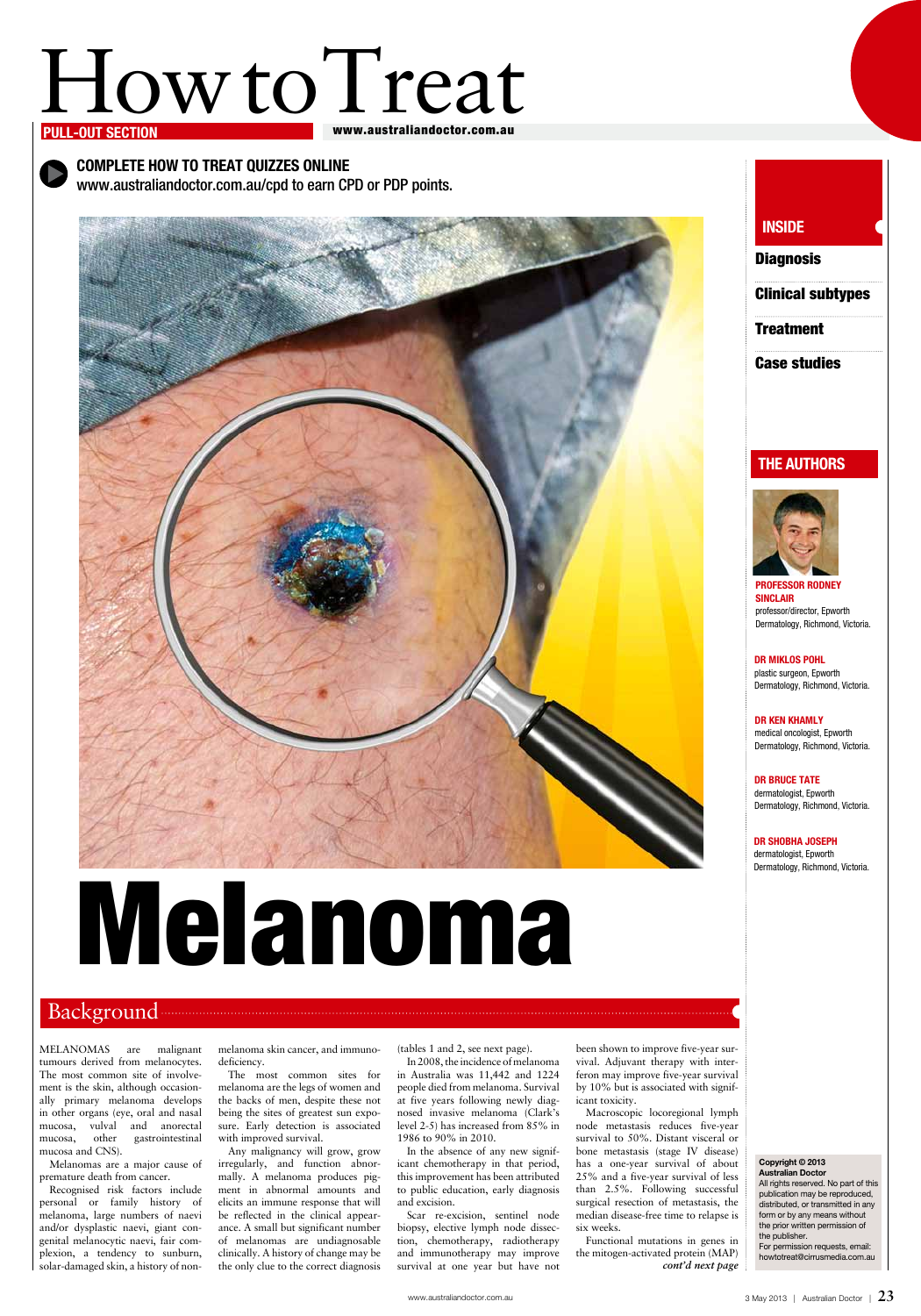# How to Treat

#### www.australiandoctor.com.au

## INSIDE **Diagnosis**

Professor Rodney **SINCLAIR** professor/director, Epworth Dermatology, Richmond, Victoria.

Complete How to Treat quizzes online www.australiandoctor.com.au/cpd to earn CPD or PDP points.



DR BRUCE TATE dermatologist, Epworth Dermatology, Richmond, Victoria.

## the authors



#### Dr Miklos Pohl plastic surgeon, Epworth Dermatology, Richmond, Victoria.

Dr Ken Khamly medical oncologist, Epworth Dermatology, Richmond, Victoria.

Dr Shobha Joseph dermatologist, Epworth Dermatology, Richmond, Victoria.

## Background <u>Electrician Communist Construction</u>

MELANOMAS are malignant tumours derived from melanocytes. The most common site of involvement is the skin, although occasionally primary melanoma develops in other organs (eye, oral and nasal mucosa, vulval and anorectal mucosa, other gastrointestinal mucosa and CNS).

Melanomas are a major cause of premature death from cancer.

Recognised risk factors include personal or family history of melanoma, large numbers of naevi and/or dysplastic naevi, giant congenital melanocytic naevi, fair complexion, a tendency to sunburn, solar-damaged skin, a history of nonmelanoma skin cancer, and immunodeficiency.

The most common sites for melanoma are the legs of women and the backs of men, despite these not being the sites of greatest sun exposure. Early detection is associated with improved survival.

Any malignancy will grow, grow irregularly, and function abnormally. A melanoma produces pigment in abnormal amounts and elicits an immune response that will be reflected in the clinical appearance. A small but significant number of melanomas are undiagnosable clinically. A history of change may be the only clue to the correct diagnosis

(tables 1 and 2, see next page). In 2008, the incidence of melanoma in Australia was 11,442 and 1224 people died from melanoma. Survival at five years following newly diagnosed invasive melanoma (Clark's level 2-5) has increased from 85% in 1986 to 90% in 2010.

In the absence of any new significant chemotherapy in that period, this improvement has been attributed to public education, early diagnosis and excision.

Scar re-excision, sentinel node biopsy, elective lymph node dissection, chemotherapy, radiotherapy and immunotherapy may improve survival at one year but have not been shown to improve five-year survival. Adjuvant therapy with interferon may improve five-year survival by 10% but is associated with significant toxicity.

Macroscopic locoregional lymph node metastasis reduces five-year survival to 50%. Distant visceral or bone metastasis (stage IV disease) has a one-year survival of about 25% and a five-year survival of less than 2.5%. Following successful surgical resection of metastasis, the median disease-free time to relapse is six weeks.

Functional mutations in genes in the mitogen-activated protein (MAP) *cont'd next page*

#### Copyright © 2013 Australian Doctor

All rights reserved. No part of this publication may be reproduced, distributed, or transmitted in any form or by any means without the prior written permission of the publisher.

For permission requests, email: howtotreat@cirrusmedia.com.au

Clinical subtypes

**Treatment** 

Case studies

# Melanoma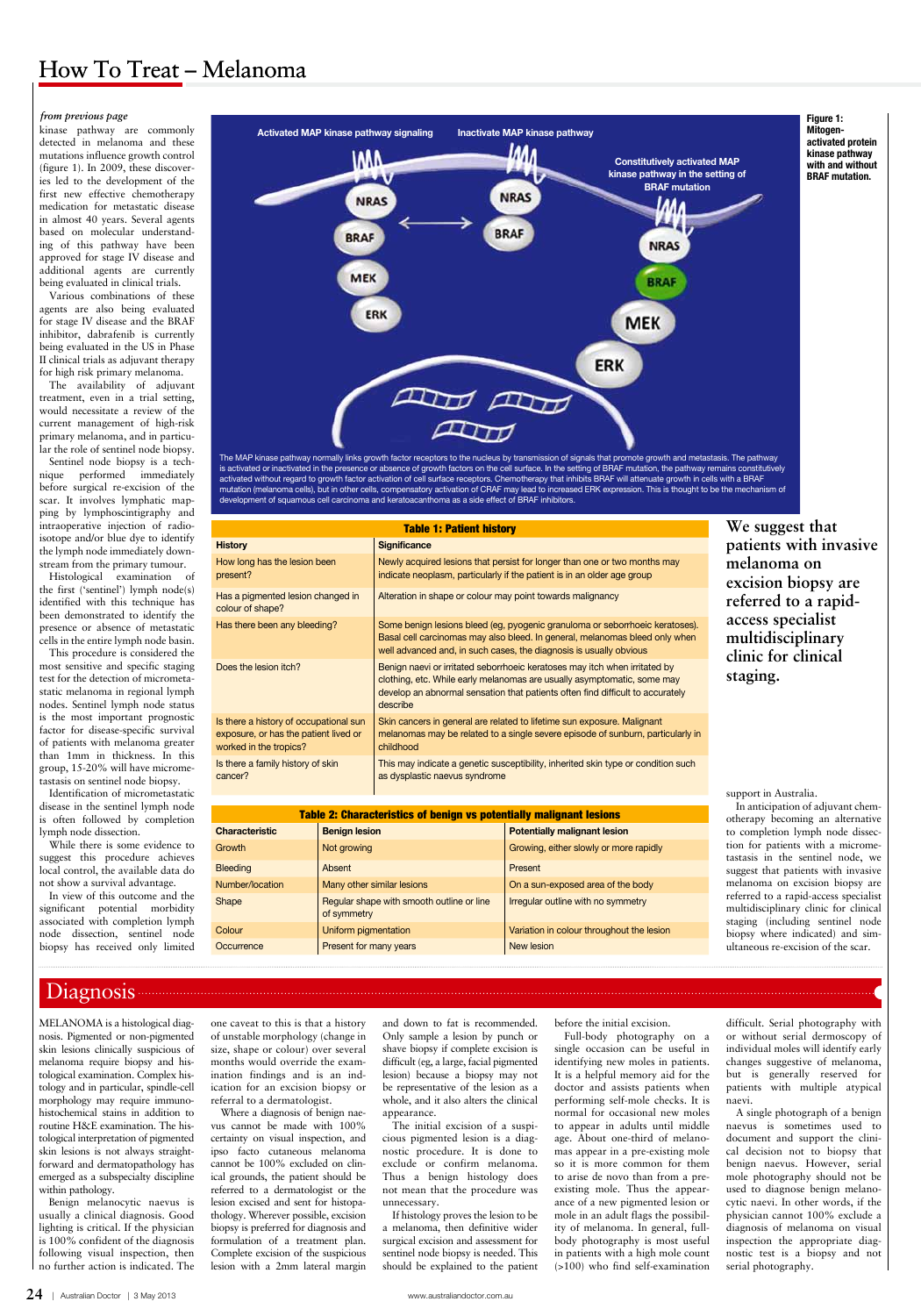**24** | Australian Doctor | 3 May 2013 www.australiandoctor.com.au

kinase pathway are commonly detected in melanoma and these mutations influence growth control (figure 1). In 2009, these discoveries led to the development of the first new effective chemotherapy medication for metastatic disease in almost 40 years. Several agents based on molecular understanding of this pathway have been approved for stage IV disease and additional agents are currently being evaluated in clinical trials.

Various combinations of these agents are also being evaluated for stage IV disease and the BRAF inhibitor, dabrafenib is currently being evaluated in the US in Phase II clinical trials as adjuvant therapy for high risk primary melanoma.

The availability of adjuvant treatment, even in a trial setting, would necessitate a review of the current management of high-risk primary melanoma, and in particular the role of sentinel node biopsy.

Sentinel node biopsy is a technique performed immediately before surgical re-excision of the scar. It involves lymphatic mapping by lymphoscintigraphy and intraoperative injection of radioisotope and/or blue dye to identify the lymph node immediately downstream from the primary tumour.

Histological examination of the first ('sentinel') lymph node(s) identified with this technique has been demonstrated to identify the presence or absence of metastatic cells in the entire lymph node basin.

This procedure is considered the most sensitive and specific staging test for the detection of micrometastatic melanoma in regional lymph nodes. Sentinel lymph node status is the most important prognostic factor for disease-specific survival of patients with melanoma greater than 1mm in thickness. In this group, 15-20% will have micrometastasis on sentinel node biopsy.

Identification of micrometastatic disease in the sentinel lymph node is often followed by completion lymph node dissection.

While there is some evidence to suggest this procedure achieves local control, the available data do not show a survival advantage.

In view of this outcome and the significant potential morbidity associated with completion lymph node dissection, sentinel node biopsy has received only limited support in Australia.

In anticipation of adjuvant chemotherapy becoming an alternative to completion lymph node dissection for patients with a micrometastasis in the sentinel node, we suggest that patients with invasive melanoma on excision biopsy are referred to a rapid-access specialist multidisciplinary clinic for clinical staging (including sentinel node biopsy where indicated) and simultaneous re-excision of the scar.

## Diagnosis

#### *from previous page*



The MAP kinase pathway normally links growth factor receptors to the nucleus by transmission of signals that promote growth and metastasis. The pathway is activated or inactivated in the presence or absence of growth factors on the cell surface. In the setting of BRAF mutation, the pathway remains constitutively activated without regard to growth factor activation of cell surface receptors. Chemotherapy that inhibits BRAF will attenuate growth in cells with a BRAF mutation (melanoma cells), but in other cells, compensatory activation of CRAF may lead to increased ERK expression. This is thought to be the mechanism of development of squamous cell carcinoma and keratoacanthoma as a side effect of BRAF inhibitors.

MELANOMA is a histological diagnosis. Pigmented or non-pigmented

skin lesions clinically suspicious of melanoma require biopsy and histological examination. Complex histology and in particular, spindle-cell morphology may require immunohistochemical stains in addition to routine H&E examination. The histological interpretation of pigmented skin lesions is not always straightforward and dermatopathology has emerged as a subspecialty discipline within pathology.

Benign melanocytic naevus is usually a clinical diagnosis. Good lighting is critical. If the physician is 100% confident of the diagnosis following visual inspection, then no further action is indicated. The one caveat to this is that a history of unstable morphology (change in

size, shape or colour) over several months would override the examination findings and is an indication for an excision biopsy or referral to a dermatologist.

Where a diagnosis of benign naevus cannot be made with 100% certainty on visual inspection, and ipso facto cutaneous melanoma cannot be 100% excluded on clinical grounds, the patient should be referred to a dermatologist or the lesion excised and sent for histopathology. Wherever possible, excision biopsy is preferred for diagnosis and formulation of a treatment plan. Complete excision of the suspicious lesion with a 2mm lateral margin and down to fat is recommended. Only sample a lesion by punch or

shave biopsy if complete excision is difficult (eg, a large, facial pigmented lesion) because a biopsy may not be representative of the lesion as a whole, and it also alters the clinical appearance.

The initial excision of a suspicious pigmented lesion is a diagnostic procedure. It is done to exclude or confirm melanoma. Thus a benign histology does not mean that the procedure was unnecessary.

If histology proves the lesion to be a melanoma, then definitive wider surgical excision and assessment for sentinel node biopsy is needed. This should be explained to the patient before the initial excision. Full-body photography on a

single occasion can be useful in identifying new moles in patients. It is a helpful memory aid for the doctor and assists patients when performing self-mole checks. It is normal for occasional new moles to appear in adults until middle age. About one-third of melanomas appear in a pre-existing mole so it is more common for them to arise de novo than from a preexisting mole. Thus the appearance of a new pigmented lesion or mole in an adult flags the possibility of melanoma. In general, fullbody photography is most useful in patients with a high mole count (>100) who find self-examination

difficult. Serial photography with or without serial dermoscopy of

individual moles will identify early changes suggestive of melanoma, but is generally reserved for patients with multiple atypical naevi.

A single photograph of a benign naevus is sometimes used to document and support the clinical decision not to biopsy that benign naevus. However, serial mole photography should not be used to diagnose benign melanocytic naevi. In other words, if the physician cannot 100% exclude a diagnosis of melanoma on visual inspection the appropriate diagnostic test is a biopsy and not serial photography.

| <b>Table 1: Patient history</b>                                                                           |                                                                                                                                                                                                                                                     |  |  |  |
|-----------------------------------------------------------------------------------------------------------|-----------------------------------------------------------------------------------------------------------------------------------------------------------------------------------------------------------------------------------------------------|--|--|--|
| <b>History</b>                                                                                            | <b>Significance</b>                                                                                                                                                                                                                                 |  |  |  |
| How long has the lesion been<br>present?                                                                  | Newly acquired lesions that persist for longer than one or two months may<br>indicate neoplasm, particularly if the patient is in an older age group                                                                                                |  |  |  |
| Has a pigmented lesion changed in<br>colour of shape?                                                     | Alteration in shape or colour may point towards malignancy                                                                                                                                                                                          |  |  |  |
| Has there been any bleeding?                                                                              | Some benign lesions bleed (eg, pyogenic granuloma or seborrhoeic keratoses).<br>Basal cell carcinomas may also bleed. In general, melanomas bleed only when<br>well advanced and, in such cases, the diagnosis is usually obvious                   |  |  |  |
| Does the lesion itch?                                                                                     | Benign naevi or irritated seborrhoeic keratoses may itch when irritated by<br>clothing, etc. While early melanomas are usually asymptomatic, some may<br>develop an abnormal sensation that patients often find difficult to accurately<br>describe |  |  |  |
| Is there a history of occupational sun<br>exposure, or has the patient lived or<br>worked in the tropics? | Skin cancers in general are related to lifetime sun exposure. Malignant<br>melanomas may be related to a single severe episode of sunburn, particularly in<br>childhood                                                                             |  |  |  |
| Is there a family history of skin<br>cancer?                                                              | This may indicate a genetic susceptibility, inherited skin type or condition such<br>as dysplastic naevus syndrome                                                                                                                                  |  |  |  |

| <b>Table 2: Characteristics of benign vs potentially malignant lesions</b> |                                                          |                                           |  |  |  |  |
|----------------------------------------------------------------------------|----------------------------------------------------------|-------------------------------------------|--|--|--|--|
| <b>Characteristic</b>                                                      | <b>Benign lesion</b>                                     | <b>Potentially malignant lesion</b>       |  |  |  |  |
| <b>Growth</b>                                                              | Not growing                                              | Growing, either slowly or more rapidly    |  |  |  |  |
| <b>Bleeding</b>                                                            | Absent                                                   | Present                                   |  |  |  |  |
| Number/location                                                            | Many other similar lesions                               | On a sun-exposed area of the body         |  |  |  |  |
| Shape                                                                      | Regular shape with smooth outline or line<br>of symmetry | Irregular outline with no symmetry        |  |  |  |  |
| Colour                                                                     | Uniform pigmentation                                     | Variation in colour throughout the lesion |  |  |  |  |
| Occurrence                                                                 | Present for many years                                   | New lesion                                |  |  |  |  |

## How To Treat – Melanoma

**We suggest that patients with invasive melanoma on excision biopsy are referred to a rapidaccess specialist multidisciplinary clinic for clinical staging.**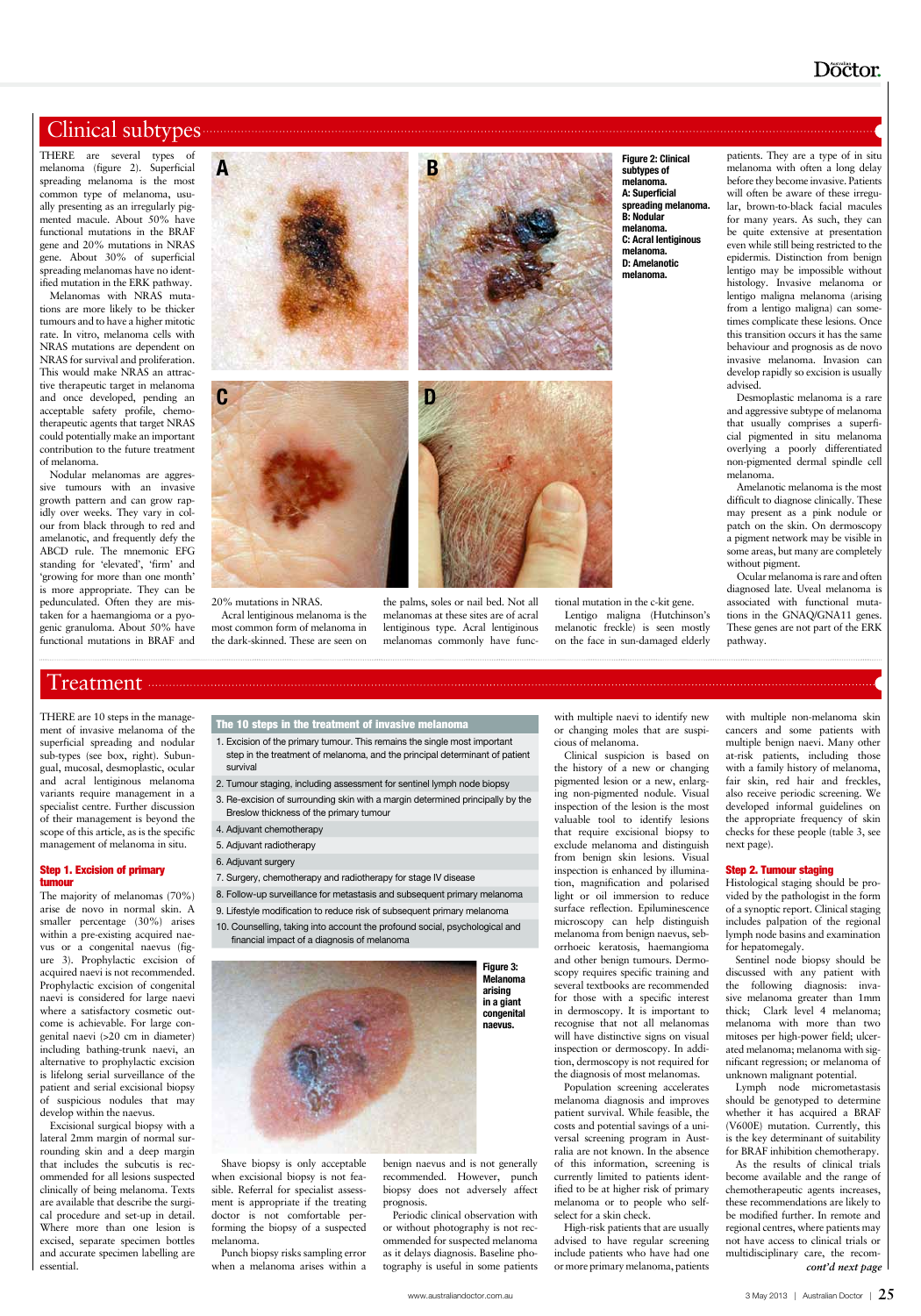## Doctor.

## Clinical subtypes **Executive Structure** of the structure of the structure of the structure of the structure of the structure of the structure of the structure of the structure of the structure of the structure of the struc

THERE are several types of melanoma (figure 2). Superficial spreading melanoma is the most common type of melanoma, usually presenting as an irregularly pigmented macule. About 50% have functional mutations in the BRAF gene and 20% mutations in NRAS gene. About 30% of superficial spreading melanomas have no identified mutation in the ERK pathway.

Melanomas with NRAS mutations are more likely to be thicker tumours and to have a higher mitotic rate. In vitro, melanoma cells with NRAS mutations are dependent on NRAS for survival and proliferation. This would make NRAS an attractive therapeutic target in melanoma and once developed, pending an acceptable safety profile, chemotherapeutic agents that target NRAS could potentially make an important contribution to the future treatment of melanoma.

Nodular melanomas are aggressive tumours with an invasive growth pattern and can grow rapidly over weeks. They vary in colour from black through to red and amelanotic, and frequently defy the ABCD rule. The mnemonic EFG standing for 'elevated', 'firm' and 'growing for more than one month' is more appropriate. They can be pedunculated. Often they are mistaken for a haemangioma or a pyogenic granuloma. About 50% have functional mutations in BRAF and

20% mutations in NRAS. Acral lentiginous melanoma is the most common form of melanoma in the dark-skinned. These are seen on

the palms, soles or nail bed. Not all melanomas at these sites are of acral lentiginous type. Acral lentiginous melanomas commonly have func-

tional mutation in the c-kit gene. Lentigo maligna (Hutchinson's melanotic freckle) is seen mostly on the face in sun-damaged elderly

patients. They are a type of in situ melanoma with often a long delay before they become invasive. Patients will often be aware of these irregular, brown-to-black facial macules for many years. As such, they can be quite extensive at presentation even while still being restricted to the epidermis. Distinction from benign lentigo may be impossible without histology. Invasive melanoma or lentigo maligna melanoma (arising from a lentigo maligna) can sometimes complicate these lesions. Once this transition occurs it has the same behaviour and prognosis as de novo invasive melanoma. Invasion can develop rapidly so excision is usually advised.

Desmoplastic melanoma is a rare and aggressive subtype of melanoma that usually comprises a superficial pigmented in situ melanoma overlying a poorly differentiated non-pigmented dermal spindle cell melanoma.

Amelanotic melanoma is the most difficult to diagnose clinically. These may present as a pink nodule or patch on the skin. On dermoscopy a pigment network may be visible in some areas, but many are completely without pigment.

Ocular melanoma is rare and often diagnosed late. Uveal melanoma is associated with functional mutations in the GNAQ/GNA11 genes. These genes are not part of the ERK pathway.

THERE are 10 steps in the management of invasive melanoma of the superficial spreading and nodular sub-types (see box, right). Subungual, mucosal, desmoplastic, ocular and acral lentiginous melanoma variants require management in a specialist centre. Further discussion of their management is beyond the scope of this article, as is the specific management of melanoma in situ.

#### Step 1. Excision of primary tumour

The majority of melanomas (70%) arise de novo in normal skin. A smaller percentage (30%) arises within a pre-existing acquired naevus or a congenital naevus (figure 3). Prophylactic excision of acquired naevi is not recommended. Prophylactic excision of congenital naevi is considered for large naevi where a satisfactory cosmetic outcome is achievable. For large congenital naevi (>20 cm in diameter)

including bathing-trunk naevi, an alternative to prophylactic excision is lifelong serial surveillance of the patient and serial excisional biopsy of suspicious nodules that may develop within the naevus.

Excisional surgical biopsy with a lateral 2mm margin of normal surrounding skin and a deep margin that includes the subcutis is recommended for all lesions suspected clinically of being melanoma. Texts are available that describe the surgical procedure and set-up in detail. Where more than one lesion is excised, separate specimen bottles and accurate specimen labelling are essential.

Shave biopsy is only acceptable when excisional biopsy is not feasible. Referral for specialist assessment is appropriate if the treating doctor is not comfortable performing the biopsy of a suspected melanoma.

Punch biopsy risks sampling error when a melanoma arises within a benign naevus and is not generally recommended. However, punch biopsy does not adversely affect prognosis.

Periodic clinical observation with or without photography is not recommended for suspected melanoma as it delays diagnosis. Baseline photography is useful in some patients

with multiple naevi to identify new or changing moles that are suspicious of melanoma.

Clinical suspicion is based on the history of a new or changing pigmented lesion or a new, enlarging non-pigmented nodule. Visual inspection of the lesion is the most valuable tool to identify lesions that require excisional biopsy to exclude melanoma and distinguish from benign skin lesions. Visual inspection is enhanced by illumination, magnification and polarised light or oil immersion to reduce surface reflection. Epiluminescence microscopy can help distinguish melanoma from benign naevus, seborrhoeic keratosis, haemangioma and other benign tumours. Dermoscopy requires specific training and several textbooks are recommended for those with a specific interest in dermoscopy. It is important to recognise that not all melanomas will have distinctive signs on visual

inspection or dermoscopy. In addition, dermoscopy is not required for the diagnosis of most melanomas.

Population screening accelerates melanoma diagnosis and improves patient survival. While feasible, the costs and potential savings of a universal screening program in Australia are not known. In the absence of this information, screening is currently limited to patients identified to be at higher risk of primary melanoma or to people who selfselect for a skin check.

High-risk patients that are usually advised to have regular screening include patients who have had one or more primary melanoma, patients

with multiple non-melanoma skin cancers and some patients with multiple benign naevi. Many other at-risk patients, including those with a family history of melanoma, fair skin, red hair and freckles, also receive periodic screening. We developed informal guidelines on the appropriate frequency of skin checks for these people (table 3, see next page).

#### Step 2. Tumour staging

Histological staging should be provided by the pathologist in the form of a synoptic report. Clinical staging includes palpation of the regional lymph node basins and examination for hepatomegaly.

## Treatment

### The 10 steps in the treatment of invasive melanoma

Sentinel node biopsy should be discussed with any patient with the following diagnosis: invasive melanoma greater than 1mm thick; Clark level 4 melanoma; melanoma with more than two mitoses per high-power field; ulcerated melanoma; melanoma with significant regression; or melanoma of unknown malignant potential. Lymph node micrometastasis should be genotyped to determine whether it has acquired a BRAF (V600E) mutation. Currently, this is the key determinant of suitability for BRAF inhibition chemotherapy. As the results of clinical trials become available and the range of chemotherapeutic agents increases, these recommendations are likely to be modified further. In remote and regional centres, where patients may not have access to clinical trials or multidisciplinary care, the recom*cont'd next page*

survival

- 1. Excision of the primary tumour. This remains the single most important step in the treatment of melanoma, and the principal determinant of patient
- 2. Tumour staging, including assessment for sentinel lymph node biopsy
- 3. Re-excision of surrounding skin with a margin determined principally by the Breslow thickness of the primary tumour
- 4. Adjuvant chemotherapy

- 5. Adjuvant radiotherapy
- 6. Adjuvant surgery
- 7. Surgery, chemotherapy and radiotherapy for stage IV disease
- 8. Follow-up surveillance for metastasis and subsequent primary melanoma
- 9. Lifestyle modification to reduce risk of subsequent primary melanoma
- 10. Counselling, taking into account the profound social, psychological and financial impact of a diagnosis of melanoma





subtypes of melanoma. A: Superficial spreading melanoma. B: Nodular melanoma. C: Acral lentiginous melanoma. D: Amelanotic melanoma.

Figure 3: Melanoma arising in a giant congenital naevus.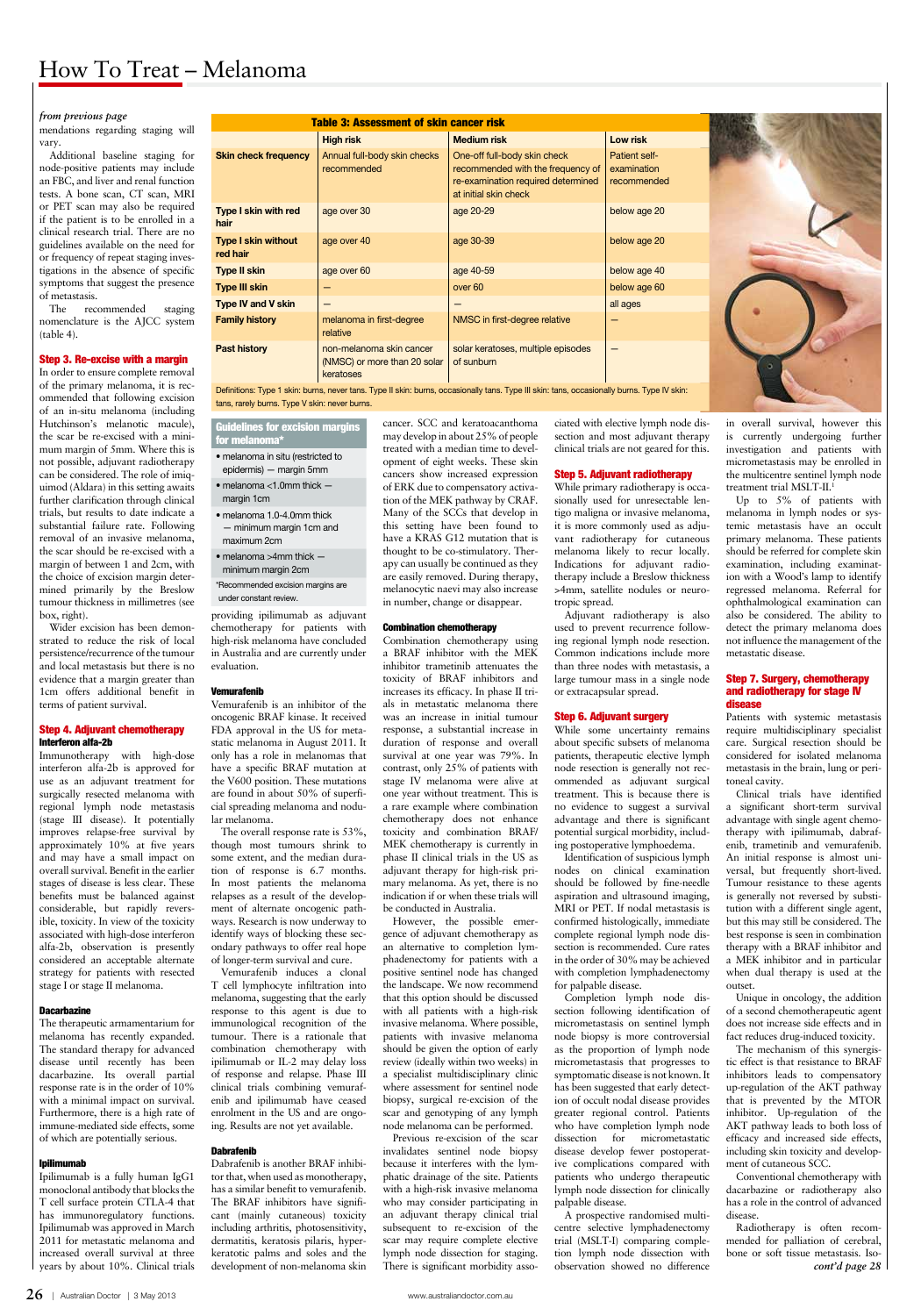**26** | Australian Doctor | 3 May 2013 www.australiandoctor.com.au

mendations regarding staging will vary.

Additional baseline staging for node-positive patients may include an FBC, and liver and renal function tests. A bone scan, CT scan, MRI or PET scan may also be required if the patient is to be enrolled in a clinical research trial. There are no guidelines available on the need for or frequency of repeat staging investigations in the absence of specific symptoms that suggest the presence of metastasis.

The recommended staging nomenclature is the AJCC system (table 4).

#### Step 3. Re-excise with a margin

In order to ensure complete removal of the primary melanoma, it is recommended that following excision of an in-situ melanoma (including Hutchinson's melanotic macule), the scar be re-excised with a minimum margin of 5mm. Where this is not possible, adjuvant radiotherapy can be considered. The role of imiquimod (Aldara) in this setting awaits further clarification through clinical trials, but results to date indicate a substantial failure rate. Following removal of an invasive melanoma, the scar should be re-excised with a margin of between 1 and 2cm, with the choice of excision margin determined primarily by the Breslow tumour thickness in millimetres (see box, right).

Wider excision has been demonstrated to reduce the risk of local persistence/recurrence of the tumour and local metastasis but there is no evidence that a margin greater than 1cm offers additional benefit in terms of patient survival.

#### Step 4. Adjuvant chemotherapy Interferon alfa-2b

Immunotherapy with high-dose interferon alfa-2b is approved for use as an adjuvant treatment for surgically resected melanoma with regional lymph node metastasis (stage III disease). It potentially improves relapse-free survival by approximately 10% at five years and may have a small impact on overall survival. Benefit in the earlier stages of disease is less clear. These benefits must be balanced against considerable, but rapidly reversible, toxicity. In view of the toxicity associated with high-dose interferon alfa-2b, observation is presently considered an acceptable alternate strategy for patients with resected stage I or stage II melanoma.

#### **Dacarbazine**

The therapeutic armamentarium for melanoma has recently expanded.

The standard therapy for advanced disease until recently has been dacarbazine. Its overall partial response rate is in the order of 10% with a minimal impact on survival. Furthermore, there is a high rate of immune-mediated side effects, some of which are potentially serious.

#### Ipilimumab

Ipilimumab is a fully human IgG1 monoclonal antibody that blocks the T cell surface protein CTLA-4 that has immunoregulatory functions. Ipilimumab was approved in March 2011 for metastatic melanoma and increased overall survival at three years by about 10%. Clinical trials

providing ipilimumab as adjuvant chemotherapy for patients with high-risk melanoma have concluded in Australia and are currently under evaluation.

#### Vemurafenib

Vemurafenib is an inhibitor of the oncogenic BRAF kinase. It received FDA approval in the US for metastatic melanoma in August 2011. It only has a role in melanomas that have a specific BRAF mutation at the V600 position. These mutations are found in about 50% of superficial spreading melanoma and nodular melanoma.

The overall response rate is 53%, though most tumours shrink to some extent, and the median duration of response is 6.7 months. In most patients the melanoma relapses as a result of the development of alternate oncogenic pathways. Research is now underway to identify ways of blocking these secondary pathways to offer real hope of longer-term survival and cure.

Vemurafenib induces a clonal T cell lymphocyte infiltration into melanoma, suggesting that the early response to this agent is due to immunological recognition of the tumour. There is a rationale that combination chemotherapy with ipilimumab or IL-2 may delay loss of response and relapse. Phase III clinical trials combining vemurafenib and ipilimumab have ceased enrolment in the US and are ongoing. Results are not yet available.

#### Dabrafenib

Dabrafenib is another BRAF inhibitor that, when used as monotherapy, has a similar benefit to vemurafenib. The BRAF inhibitors have significant (mainly cutaneous) toxicity including arthritis, photosensitivity, dermatitis, keratosis pilaris, hyperkeratotic palms and soles and the development of non-melanoma skin

cancer. SCC and keratoacanthoma may develop in about 25% of people treated with a median time to development of eight weeks. These skin cancers show increased expression of ERK due to compensatory activation of the MEK pathway by CRAF. Many of the SCCs that develop in this setting have been found to have a KRAS G12 mutation that is thought to be co-stimulatory. Therapy can usually be continued as they are easily removed. During therapy, melanocytic naevi may also increase in number, change or disappear.

#### Combination chemotherapy

Combination chemotherapy using a BRAF inhibitor with the MEK inhibitor trametinib attenuates the toxicity of BRAF inhibitors and increases its efficacy. In phase II trials in metastatic melanoma there was an increase in initial tumour response, a substantial increase in duration of response and overall survival at one year was 79%. In contrast, only 25% of patients with stage IV melanoma were alive at one year without treatment. This is a rare example where combination chemotherapy does not enhance toxicity and combination BRAF/ MEK chemotherapy is currently in phase II clinical trials in the US as adjuvant therapy for high-risk primary melanoma. As yet, there is no indication if or when these trials will be conducted in Australia.

However, the possible emergence of adjuvant chemotherapy as an alternative to completion lymphadenectomy for patients with a positive sentinel node has changed the landscape. We now recommend that this option should be discussed with all patients with a high-risk invasive melanoma. Where possible, patients with invasive melanoma should be given the option of early review (ideally within two weeks) in a specialist multidisciplinary clinic where assessment for sentinel node biopsy, surgical re-excision of the scar and genotyping of any lymph node melanoma can be performed. Previous re-excision of the scar invalidates sentinel node biopsy because it interferes with the lymphatic drainage of the site. Patients with a high-risk invasive melanoma who may consider participating in an adjuvant therapy clinical trial subsequent to re-excision of the scar may require complete elective lymph node dissection for staging. There is significant morbidity associated with elective lymph node dissection and most adjuvant therapy clinical trials are not geared for this.

#### Step 5. Adjuvant radiotherapy

While primary radiotherapy is occasionally used for unresectable lentigo maligna or invasive melanoma, it is more commonly used as adjuvant radiotherapy for cutaneous melanoma likely to recur locally. Indications for adjuvant radiotherapy include a Breslow thickness >4mm, satellite nodules or neurotropic spread.

Adjuvant radiotherapy is also used to prevent recurrence following regional lymph node resection. Common indications include more than three nodes with metastasis, a large tumour mass in a single node or extracapsular spread.

#### Step 6. Adjuvant surgery

While some uncertainty remains about specific subsets of melanoma patients, therapeutic elective lymph node resection is generally not recommended as adjuvant surgical treatment. This is because there is no evidence to suggest a survival advantage and there is significant potential surgical morbidity, including postoperative lymphoedema.

Identification of suspicious lymph nodes on clinical examination should be followed by fine-needle aspiration and ultrasound imaging, MRI or PET. If nodal metastasis is confirmed histologically, immediate complete regional lymph node dissection is recommended. Cure rates in the order of 30% may be achieved with completion lymphadenectomy for palpable disease.

Completion lymph node dissection following identification of micrometastasis on sentinel lymph node biopsy is more controversial as the proportion of lymph node micrometastasis that progresses to symptomatic disease is not known. It has been suggested that early detection of occult nodal disease provides greater regional control. Patients who have completion lymph node dissection for micrometastatic disease develop fewer postoperative complications compared with patients who undergo therapeutic lymph node dissection for clinically palpable disease. A prospective randomised multicentre selective lymphadenectomy trial (MSLT-I) comparing completion lymph node dissection with observation showed no difference

in overall survival, however this is currently undergoing further investigation and patients with micrometastasis may be enrolled in the multicentre sentinel lymph node treatment trial MSLT-II.1

Up to 5% of patients with melanoma in lymph nodes or systemic metastasis have an occult primary melanoma. These patients should be referred for complete skin examination, including examination with a Wood's lamp to identify regressed melanoma. Referral for ophthalmological examination can also be considered. The ability to detect the primary melanoma does not influence the management of the metastatic disease.

#### Step 7. Surgery, chemotherapy and radiotherapy for stage IV disease

Patients with systemic metastasis require multidisciplinary specialist care. Surgical resection should be considered for isolated melanoma metastasis in the brain, lung or peritoneal cavity.

Clinical trials have identified a significant short-term survival advantage with single agent chemotherapy with ipilimumab, dabrafenib, trametinib and vemurafenib. An initial response is almost universal, but frequently short-lived. Tumour resistance to these agents is generally not reversed by substitution with a different single agent, but this may still be considered. The best response is seen in combination therapy with a BRAF inhibitor and a MEK inhibitor and in particular when dual therapy is used at the outset.

Unique in oncology, the addition of a second chemotherapeutic agent does not increase side effects and in fact reduces drug-induced toxicity. The mechanism of this synergistic effect is that resistance to BRAF inhibitors leads to compensatory up-regulation of the AKT pathway that is prevented by the MTOR inhibitor. Up-regulation of the AKT pathway leads to both loss of efficacy and increased side effects, including skin toxicity and development of cutaneous SCC. Conventional chemotherapy with dacarbazine or radiotherapy also has a role in the control of advanced disease.

#### Guidelines for excision margins for melanoma\*

- melanoma in situ (restricted to epidermis) — margin 5mm
- melanoma <1.0mm thick margin 1cm
- melanoma 1.0-4.0mm thick — minimum margin 1cm and maximum 2cm
- melanoma >4mm thick minimum margin 2cm
- \*Recommended excision margins are under constant review.

Radiotherapy is often recommended for palliation of cerebral, bone or soft tissue metastasis. Iso*cont'd page 28*

| <b>Table 3: Assessment of skin cancer risk</b> |                                                                       |                                                                                                                                              |                                                    |
|------------------------------------------------|-----------------------------------------------------------------------|----------------------------------------------------------------------------------------------------------------------------------------------|----------------------------------------------------|
|                                                | <b>High risk</b>                                                      | <b>Medium risk</b>                                                                                                                           | Low risk                                           |
| <b>Skin check frequency</b>                    | Annual full-body skin checks<br>recommended                           | One-off full-body skin check<br>recommended with the frequency of<br>re-examination required determined<br>at initial skin check             | <b>Patient self-</b><br>examination<br>recommended |
| Type I skin with red<br>hair                   | age over 30                                                           | age 20-29                                                                                                                                    | below age 20                                       |
| <b>Type I skin without</b><br>red hair         | age over 40                                                           | age 30-39                                                                                                                                    | below age 20                                       |
| <b>Type II skin</b>                            | age over 60                                                           | age 40-59                                                                                                                                    | below age 40                                       |
| <b>Type III skin</b>                           |                                                                       | over 60                                                                                                                                      | below age 60                                       |
| <b>Type IV and V skin</b>                      |                                                                       |                                                                                                                                              | all ages                                           |
| <b>Family history</b>                          | melanoma in first-degree<br>relative                                  | NMSC in first-degree relative                                                                                                                |                                                    |
| <b>Past history</b>                            | non-melanoma skin cancer<br>(NMSC) or more than 20 solar<br>keratoses | solar keratoses, multiple episodes<br>of sunburn                                                                                             |                                                    |
|                                                |                                                                       | Definitional Truck 4 abies leaves procedured Truck Habies leaves apportunally tend. Truck III abies toget apportunally leaves Truck B Labies |                                                    |

Definitions: Type 1 skin: burns, never tans. Type II skin: burns, occasionally tans. Type III skin: tans, occasionally burns. Type IV skin: tans, rarely burns. Type V skin: never burns.

#### *from previous page*

## How To Treat – Melanoma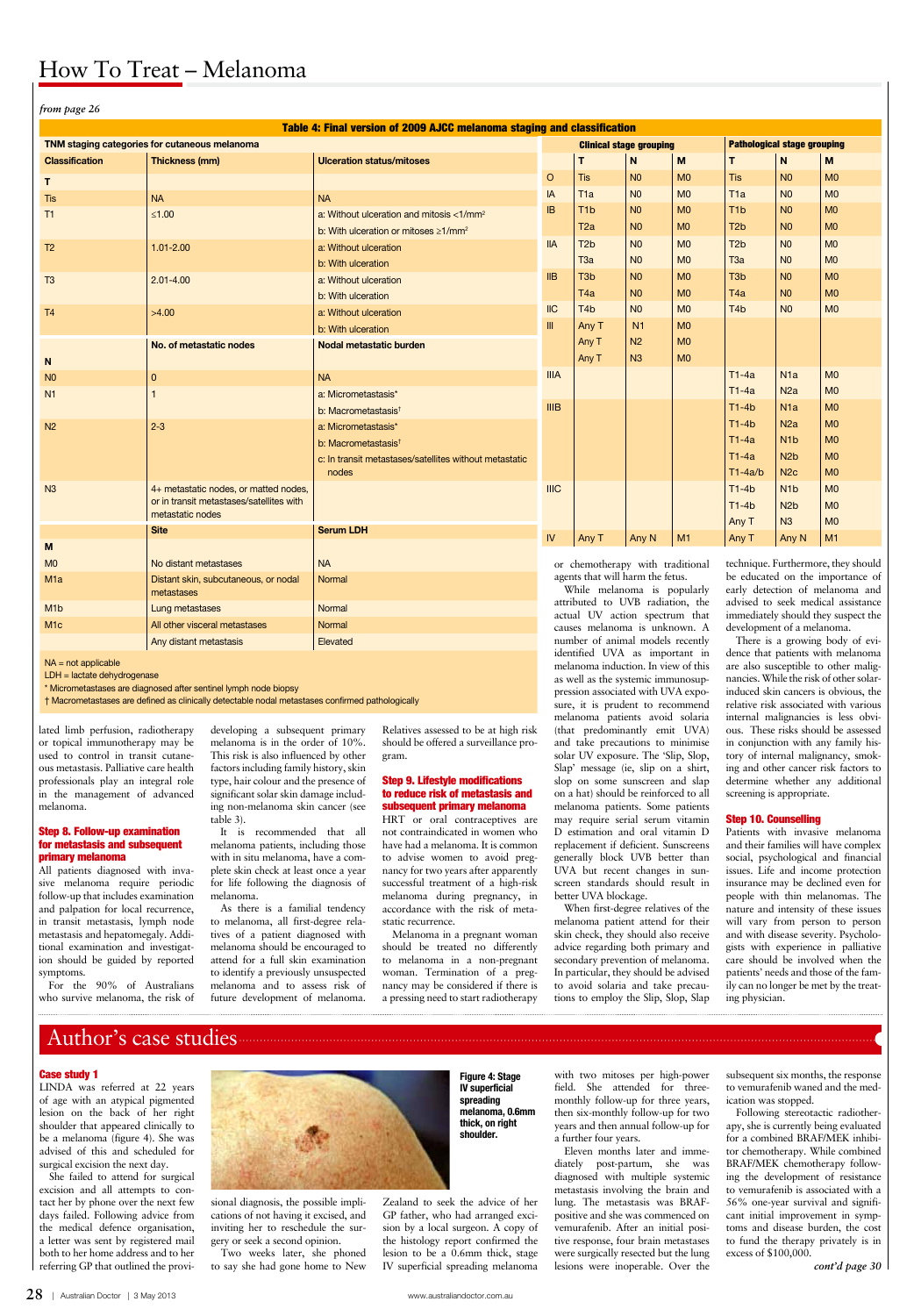**28** | Australian Doctor | 3 May 2013 www.australiandoctor.com.au

## How To Treat – Melanoma

lated limb perfusion, radiotherapy or topical immunotherapy may be used to control in transit cutaneous metastasis. Palliative care health professionals play an integral role in the management of advanced melanoma.

#### Step 8. Follow-up examination for metastasis and subsequent primary melanoma

All patients diagnosed with invasive melanoma require periodic follow-up that includes examination and palpation for local recurrence, in transit metastasis, lymph node metastasis and hepatomegaly. Additional examination and investigation should be guided by reported symptoms.

For the 90% of Australians who survive melanoma, the risk of developing a subsequent primary melanoma is in the order of 10%. This risk is also influenced by other factors including family history, skin type, hair colour and the presence of significant solar skin damage including non-melanoma skin cancer (see table 3).

It is recommended that all melanoma patients, including those with in situ melanoma, have a complete skin check at least once a year for life following the diagnosis of melanoma.

As there is a familial tendency to melanoma, all first-degree relatives of a patient diagnosed with melanoma should be encouraged to attend for a full skin examination to identify a previously unsuspected melanoma and to assess risk of future development of melanoma.

Relatives assessed to be at high risk should be offered a surveillance program.

#### Step 9. Lifestyle modifications to reduce risk of metastasis and subsequent primary melanoma

HRT or oral contraceptives are not contraindicated in women who have had a melanoma. It is common to advise women to avoid pregnancy for two years after apparently successful treatment of a high-risk melanoma during pregnancy, in accordance with the risk of metastatic recurrence.

Melanoma in a pregnant woman should be treated no differently to melanoma in a non-pregnant woman. Termination of a pregnancy may be considered if there is a pressing need to start radiotherapy

causes melanoma is unknown. A number of animal models recently identified UVA as important in melanoma induction. In view of this as well as the systemic immunosuppression associated with UVA exposure, it is prudent to recommend melanoma patients avoid solaria (that predominantly emit UVA) and take precautions to minimise solar UV exposure. The 'Slip, Slop, Slap' message (ie, slip on a shirt, slop on some sunscreen and slap on a hat) should be reinforced to all melanoma patients. Some patients may require serial serum vitamin D estimation and oral vitamin D replacement if deficient. Sunscreens generally block UVB better than UVA but recent changes in sunscreen standards should result in better UVA blockage.

When first-degree relatives of the melanoma patient attend for their skin check, they should also receive advice regarding both primary and secondary prevention of melanoma. In particular, they should be advised to avoid solaria and take precautions to employ the Slip, Slop, Slap

be educated on the importance of early detection of melanoma and advised to seek medical assistance immediately should they suspect the development of a melanoma.

There is a growing body of evidence that patients with melanoma are also susceptible to other malignancies. While the risk of other solarinduced skin cancers is obvious, the relative risk associated with various internal malignancies is less obvious. These risks should be assessed in conjunction with any family history of internal malignancy, smoking and other cancer risk factors to determine whether any additional screening is appropriate.

#### Step 10. Counselling

Patients with invasive melanoma and their families will have complex social, psychological and financial issues. Life and income protection insurance may be declined even for people with thin melanomas. The nature and intensity of these issues will vary from person to person and with disease severity. Psychologists with experience in palliative care should be involved when the patients' needs and those of the family can no longer be met by the treating physician.

#### Case study 1

LINDA was referred at 22 years of age with an atypical pigmented lesion on the back of her right shoulder that appeared clinically to be a melanoma (figure 4). She was advised of this and scheduled for surgical excision the next day.

She failed to attend for surgical excision and all attempts to contact her by phone over the next few days failed. Following advice from the medical defence organisation, a letter was sent by registered mail both to her home address and to her referring GP that outlined the provi-

sional diagnosis, the possible implications of not having it excised, and inviting her to reschedule the surgery or seek a second opinion.

| $\cdots$ r $\cdots$                           |                                                                                   |                                                                         |                                                                                                                                        |                                                                         |                |                                    |                  |                  |                      |
|-----------------------------------------------|-----------------------------------------------------------------------------------|-------------------------------------------------------------------------|----------------------------------------------------------------------------------------------------------------------------------------|-------------------------------------------------------------------------|----------------|------------------------------------|------------------|------------------|----------------------|
|                                               |                                                                                   | Table 4: Final version of 2009 AJCC melanoma staging and classification |                                                                                                                                        |                                                                         |                |                                    |                  |                  |                      |
| TNM staging categories for cutaneous melanoma |                                                                                   |                                                                         | <b>Clinical stage grouping</b>                                                                                                         |                                                                         |                | <b>Pathological stage grouping</b> |                  |                  |                      |
| <b>Classification</b>                         | Thickness (mm)                                                                    | <b>Ulceration status/mitoses</b>                                        |                                                                                                                                        | T                                                                       | N              | M                                  | T.               | N <sub>1</sub>   | M                    |
| T.                                            |                                                                                   |                                                                         | $\circ$                                                                                                                                | <b>Tis</b>                                                              | N <sub>0</sub> | MO                                 | <b>Tis</b>       | N <sub>0</sub>   | MO                   |
| <b>Tis</b>                                    | <b>NA</b>                                                                         | <b>NA</b>                                                               | IA                                                                                                                                     | T <sub>1</sub> a                                                        | N <sub>0</sub> | M <sub>0</sub>                     | T <sub>1a</sub>  | N <sub>0</sub>   | M <sub>0</sub>       |
| T1                                            | $≤1.00$                                                                           | a: Without ulceration and mitosis <1/mm <sup>2</sup>                    | <b>IB</b>                                                                                                                              | T <sub>1</sub> b                                                        | N <sub>0</sub> | M <sub>0</sub>                     | T <sub>1</sub> b | N <sub>0</sub>   | M <sub>0</sub>       |
|                                               |                                                                                   | b: With ulceration or mitoses $\geq 1/\text{mm}^2$                      |                                                                                                                                        | T <sub>2a</sub>                                                         | N <sub>0</sub> | M <sub>0</sub>                     | T <sub>2</sub> b | N <sub>0</sub>   | M <sub>0</sub>       |
| T <sub>2</sub>                                | $1.01 - 2.00$                                                                     | a: Without ulceration                                                   | <b>IIA</b>                                                                                                                             | T <sub>2</sub> b                                                        | N <sub>0</sub> | M <sub>0</sub>                     | T <sub>2</sub> b | N <sub>0</sub>   | M <sub>0</sub>       |
|                                               |                                                                                   | b: With ulceration                                                      |                                                                                                                                        | T <sub>3a</sub>                                                         | N <sub>0</sub> | MO                                 | T <sub>3a</sub>  | N <sub>0</sub>   | M <sub>0</sub>       |
| T <sub>3</sub>                                | $2.01 - 4.00$                                                                     | a: Without ulceration                                                   | IIB                                                                                                                                    | T <sub>3</sub> b                                                        | N <sub>0</sub> | M <sub>0</sub>                     | T <sub>3</sub> b | N <sub>0</sub>   | MO                   |
|                                               |                                                                                   | b: With ulceration                                                      |                                                                                                                                        | T4a                                                                     | N <sub>0</sub> | MO                                 | T <sub>4</sub> a | N <sub>0</sub>   | MO                   |
| T <sub>4</sub>                                | >4.00                                                                             | a: Without ulceration                                                   | $II$                                                                                                                                   | T <sub>4</sub> b                                                        | N <sub>0</sub> | M <sub>0</sub>                     | T <sub>4</sub> b | N <sub>0</sub>   | M <sub>0</sub>       |
|                                               |                                                                                   | b: With ulceration                                                      | III.                                                                                                                                   | Any T                                                                   | N <sub>1</sub> | MO                                 |                  |                  |                      |
|                                               | No. of metastatic nodes                                                           | Nodal metastatic burden                                                 |                                                                                                                                        | Any T                                                                   | N <sub>2</sub> | M <sub>0</sub>                     |                  |                  |                      |
| N                                             |                                                                                   |                                                                         |                                                                                                                                        | Any T                                                                   | N <sub>3</sub> | MO                                 |                  |                  |                      |
| N <sub>0</sub>                                | $\mathbf{0}$                                                                      | <b>NA</b>                                                               | <b>IIIA</b>                                                                                                                            |                                                                         |                |                                    | $T1-4a$          | N1a              | M <sub>0</sub>       |
| N <sub>1</sub>                                |                                                                                   | a: Micrometastasis*                                                     |                                                                                                                                        |                                                                         |                |                                    | $T1-4a$          | N2a              | M <sub>0</sub>       |
|                                               |                                                                                   | b: Macrometastasis <sup>t</sup>                                         | IIIB                                                                                                                                   |                                                                         |                |                                    | $T1-4b$          | N <sub>1</sub> a | MO                   |
| N <sub>2</sub>                                | $2 - 3$                                                                           | a: Micrometastasis*                                                     |                                                                                                                                        |                                                                         |                |                                    | $T1-4b$          | N2a              | M <sub>0</sub>       |
|                                               |                                                                                   | b: Macrometastasis <sup>t</sup>                                         |                                                                                                                                        |                                                                         |                |                                    | $T1-4a$          | N <sub>1</sub> b | MO                   |
|                                               |                                                                                   | c: In transit metastases/satellites without metastatic                  |                                                                                                                                        |                                                                         |                |                                    | $T1-4a$          | N <sub>2</sub> b | M <sub>0</sub>       |
|                                               |                                                                                   | nodes                                                                   |                                                                                                                                        |                                                                         |                |                                    | $T1-4a/b$        | N2c              | M <sub>0</sub>       |
| N3                                            | 4+ metastatic nodes, or matted nodes,<br>or in transit metastases/satellites with |                                                                         | <b>IIIC</b>                                                                                                                            |                                                                         |                |                                    | $T1-4b$          | N <sub>1</sub> b | M <sub>0</sub>       |
|                                               | metastatic nodes                                                                  |                                                                         |                                                                                                                                        |                                                                         |                |                                    | $T1-4b$          | N <sub>2b</sub>  | M <sub>0</sub>       |
|                                               | <b>Site</b>                                                                       | <b>Serum LDH</b>                                                        | ${\sf IV}$                                                                                                                             |                                                                         |                | M1                                 | Any T            | N3               | M <sub>0</sub><br>M1 |
| M                                             |                                                                                   |                                                                         |                                                                                                                                        | Any T                                                                   | Any N          |                                    | Any T            | Any N            |                      |
| M <sub>0</sub>                                | No distant metastases                                                             | <b>NA</b>                                                               |                                                                                                                                        | technique. Furthermore, they should<br>or chemotherapy with traditional |                |                                    |                  |                  |                      |
| M <sub>1</sub> a                              | Distant skin, subcutaneous, or nodal<br>metastases                                | Normal                                                                  | agents that will harm the fetus.<br>be educated on the importance of<br>While melanoma is popularly<br>early detection of melanoma and |                                                                         |                |                                    |                  |                  |                      |
| M <sub>1</sub> b                              | Lung metastases                                                                   | Normal                                                                  | attributed to UVB radiation, the<br>advised to seek medical assistance                                                                 |                                                                         |                |                                    |                  |                  |                      |
| M <sub>1</sub> c                              | All other visceral metastases                                                     | <b>Normal</b>                                                           | actual UV action spectrum that<br>immediately should they suspect the<br>causes melanoma is unknown. A<br>development of a melanoma    |                                                                         |                |                                    |                  |                  |                      |

Two weeks later, she phoned to say she had gone home to New

Zealand to seek the advice of her GP father, who had arranged excision by a local surgeon. A copy of the histology report confirmed the lesion to be a 0.6mm thick, stage IV superficial spreading melanoma

with two mitoses per high-power field. She attended for threemonthly follow-up for three years, then six-monthly follow-up for two years and then annual follow-up for a further four years.

Eleven months later and immediately post-partum, she was diagnosed with multiple systemic metastasis involving the brain and lung. The metastasis was BRAFpositive and she was commenced on vemurafenib. After an initial positive response, four brain metastases were surgically resected but the lung lesions were inoperable. Over the

subsequent six months, the response to vemurafenib waned and the medication was stopped.

Following stereotactic radiotherapy, she is currently being evaluated for a combined BRAF/MEK inhibitor chemotherapy. While combined BRAF/MEK chemotherapy following the development of resistance to vemurafenib is associated with a 56% one-year survival and significant initial improvement in symptoms and disease burden, the cost to fund the therapy privately is in excess of \$100,000.



*cont'd page 30*

NA = not applicable

LDH = lactate dehydrogenase

\* Micrometastases are diagnosed after sentinel lymph node biopsy

† Macrometastases are defined as clinically detectable nodal metastases confirmed pathologically

Any distant metastasis **Elevated** 

*from page 26*